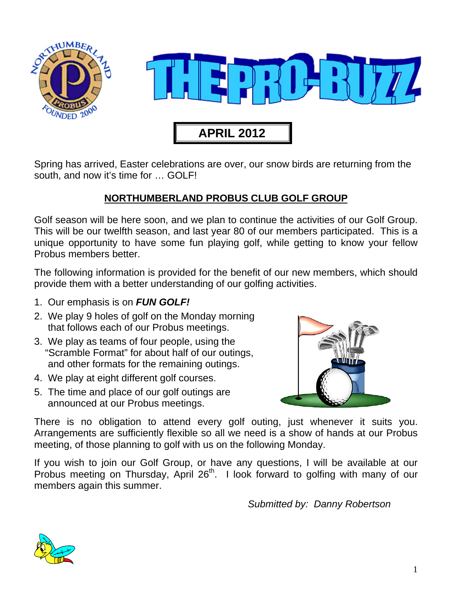

Spring has arrived, Easter celebrations are over, our snow birds are returning from the south, and now it's time for … GOLF!

#### **NORTHUMBERLAND PROBUS CLUB GOLF GROUP**

Golf season will be here soon, and we plan to continue the activities of our Golf Group. This will be our twelfth season, and last year 80 of our members participated. This is a unique opportunity to have some fun playing golf, while getting to know your fellow Probus members better.

The following information is provided for the benefit of our new members, which should provide them with a better understanding of our golfing activities.

- 1. Our emphasis is on *FUN GOLF!*
- 2. We play 9 holes of golf on the Monday morning that follows each of our Probus meetings.
- 3. We play as teams of four people, using the "Scramble Format" for about half of our outings, and other formats for the remaining outings.
- 4. We play at eight different golf courses.
- 5. The time and place of our golf outings are announced at our Probus meetings.



There is no obligation to attend every golf outing, just whenever it suits you. Arrangements are sufficiently flexible so all we need is a show of hands at our Probus meeting, of those planning to golf with us on the following Monday.

If you wish to join our Golf Group, or have any questions, I will be available at our Probus meeting on Thursday, April 26<sup>th</sup>. I look forward to golfing with many of our members again this summer.

*Submitted by: Danny Robertson* 

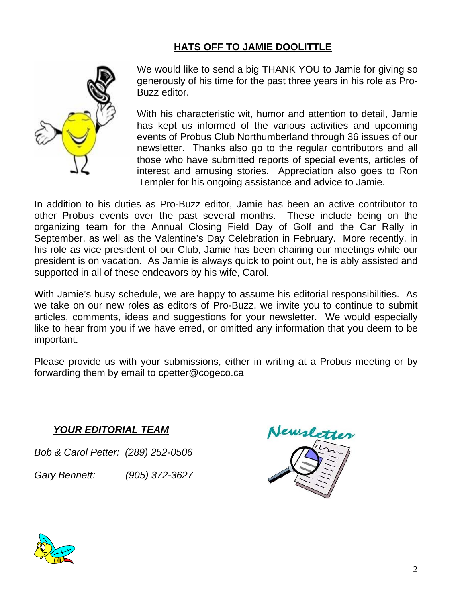## **HATS OFF TO JAMIE DOOLITTLE**



We would like to send a big THANK YOU to Jamie for giving so generously of his time for the past three years in his role as Pro-Buzz editor.

With his characteristic wit, humor and attention to detail, Jamie has kept us informed of the various activities and upcoming events of Probus Club Northumberland through 36 issues of our newsletter. Thanks also go to the regular contributors and all those who have submitted reports of special events, articles of interest and amusing stories. Appreciation also goes to Ron Templer for his ongoing assistance and advice to Jamie.

In addition to his duties as Pro-Buzz editor, Jamie has been an active contributor to other Probus events over the past several months. These include being on the organizing team for the Annual Closing Field Day of Golf and the Car Rally in September, as well as the Valentine's Day Celebration in February. More recently, in his role as vice president of our Club, Jamie has been chairing our meetings while our president is on vacation. As Jamie is always quick to point out, he is ably assisted and supported in all of these endeavors by his wife, Carol.

With Jamie's busy schedule, we are happy to assume his editorial responsibilities. As we take on our new roles as editors of Pro-Buzz, we invite you to continue to submit articles, comments, ideas and suggestions for your newsletter. We would especially like to hear from you if we have erred, or omitted any information that you deem to be important.

Please provide us with your submissions, either in writing at a Probus meeting or by forwarding them by email to cpetter@cogeco.ca

#### *YOUR EDITORIAL TEAM*

*Bob & Carol Petter: (289) 252-0506* 

*Gary Bennett: (905) 372-3627* 



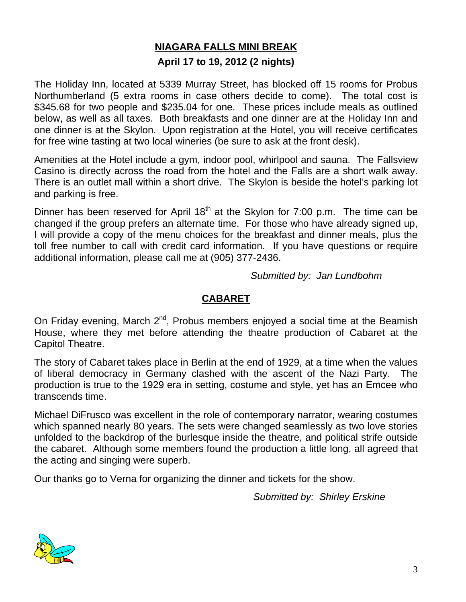## **NIAGARA FALLS MINI BREAK**

#### **April 17 to 19, 2012 (2 nights)**

The Holiday Inn, located at 5339 Murray Street, has blocked off 15 rooms for Probus Northumberland (5 extra rooms in case others decide to come). The total cost is \$345.68 for two people and \$235.04 for one. These prices include meals as outlined below, as well as all taxes. Both breakfasts and one dinner are at the Holiday Inn and one dinner is at the Skylon. Upon registration at the Hotel, you will receive certificates for free wine tasting at two local wineries (be sure to ask at the front desk).

Amenities at the Hotel include a gym, indoor pool, whirlpool and sauna. The Fallsview Casino is directly across the road from the hotel and the Falls are a short walk away. There is an outlet mall within a short drive. The Skylon is beside the hotel's parking lot and parking is free.

Dinner has been reserved for April  $18<sup>th</sup>$  at the Skylon for 7:00 p.m. The time can be changed if the group prefers an alternate time. For those who have already signed up, I will provide a copy of the menu choices for the breakfast and dinner meals, plus the toll free number to call with credit card information. If you have questions or require additional information, please call me at (905) 377-2436.

*Submitted by: Jan Lundbohm* 

#### **CABARET**

On Friday evening, March  $2^{nd}$ , Probus members enjoyed a social time at the Beamish House, where they met before attending the theatre production of Cabaret at the Capitol Theatre.

The story of Cabaret takes place in Berlin at the end of 1929, at a time when the values of liberal democracy in Germany clashed with the ascent of the Nazi Party. The production is true to the 1929 era in setting, costume and style, yet has an Emcee who transcends time.

Michael DiFrusco was excellent in the role of contemporary narrator, wearing costumes which spanned nearly 80 years. The sets were changed seamlessly as two love stories unfolded to the backdrop of the burlesque inside the theatre, and political strife outside the cabaret. Although some members found the production a little long, all agreed that the acting and singing were superb.

Our thanks go to Verna for organizing the dinner and tickets for the show.

*Submitted by: Shirley Erskine* 

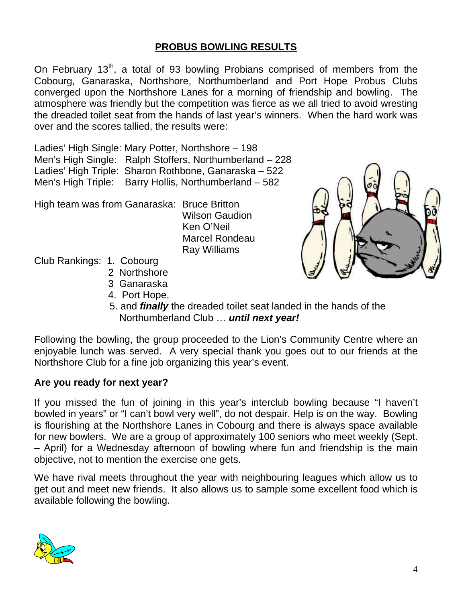### **PROBUS BOWLING RESULTS**

On February  $13<sup>th</sup>$ , a total of 93 bowling Probians comprised of members from the Cobourg, Ganaraska, Northshore, Northumberland and Port Hope Probus Clubs converged upon the Northshore Lanes for a morning of friendship and bowling. The atmosphere was friendly but the competition was fierce as we all tried to avoid wresting the dreaded toilet seat from the hands of last year's winners. When the hard work was over and the scores tallied, the results were:

Ladies' High Single: Mary Potter, Northshore – 198 Men's High Single: Ralph Stoffers, Northumberland – 228 Ladies' High Triple: Sharon Rothbone, Ganaraska – 522 Men's High Triple: Barry Hollis, Northumberland – 582

High team was from Ganaraska: Bruce Britton

 Wilson Gaudion Ken O'Neil Marcel Rondeau Ray Williams

Club Rankings: 1. Cobourg

- 2 Northshore
	- 3 Ganaraska
	- 4. Port Hope,
	- 5. and *finally* the dreaded toilet seat landed in the hands of the Northumberland Club … *until next year!*

Following the bowling, the group proceeded to the Lion's Community Centre where an enjoyable lunch was served. A very special thank you goes out to our friends at the Northshore Club for a fine job organizing this year's event.

#### **Are you ready for next year?**

If you missed the fun of joining in this year's interclub bowling because "I haven't bowled in years" or "I can't bowl very well", do not despair. Help is on the way. Bowling is flourishing at the Northshore Lanes in Cobourg and there is always space available for new bowlers. We are a group of approximately 100 seniors who meet weekly (Sept. – April) for a Wednesday afternoon of bowling where fun and friendship is the main objective, not to mention the exercise one gets.

We have rival meets throughout the year with neighbouring leagues which allow us to get out and meet new friends. It also allows us to sample some excellent food which is available following the bowling.



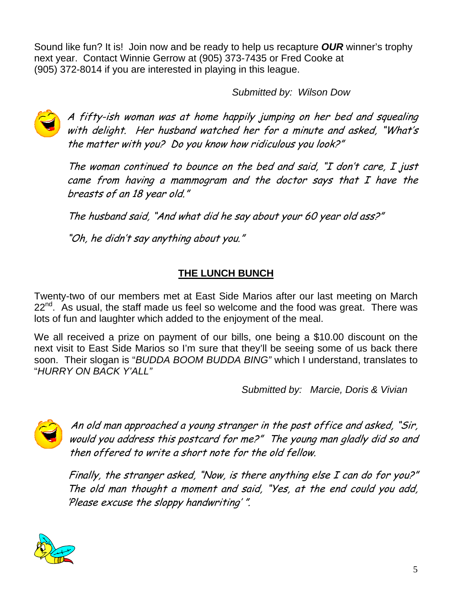Sound like fun? It is! Join now and be ready to help us recapture *OUR* winner's trophy next year. Contact Winnie Gerrow at (905) 373-7435 or Fred Cooke at (905) 372-8014 if you are interested in playing in this league.

 *Submitted by: Wilson Dow* 



A fifty-ish woman was at home happily jumping on her bed and squealing with delight. Her husband watched her for a minute and asked, "What's the matter with you? Do you know how ridiculous you look?"

The woman continued to bounce on the bed and said, "I don't care, I just came from having a mammogram and the doctor says that I have the breasts of an 18 year old."

The husband said, "And what did he say about your 60 year old ass?"

"Oh, he didn't say anything about you."

## **THE LUNCH BUNCH**

Twenty-two of our members met at East Side Marios after our last meeting on March 22<sup>nd</sup>. As usual, the staff made us feel so welcome and the food was great. There was lots of fun and laughter which added to the enjoyment of the meal.

We all received a prize on payment of our bills, one being a \$10.00 discount on the next visit to East Side Marios so I'm sure that they'll be seeing some of us back there soon. Their slogan is "*BUDDA BOOM BUDDA BING"* which I understand, translates to "*HURRY ON BACK Y'ALL"* 

*Submitted by: Marcie, Doris & Vivian* 



An old man approached a young stranger in the post office and asked, "Sir, would you address this postcard for me?" The young man gladly did so and then offered to write a short note for the old fellow.

Finally, the stranger asked, "Now, is there anything else I can do for you?" The old man thought a moment and said, "Yes, at the end could you add, 'Please excuse the sloppy handwriting' ".